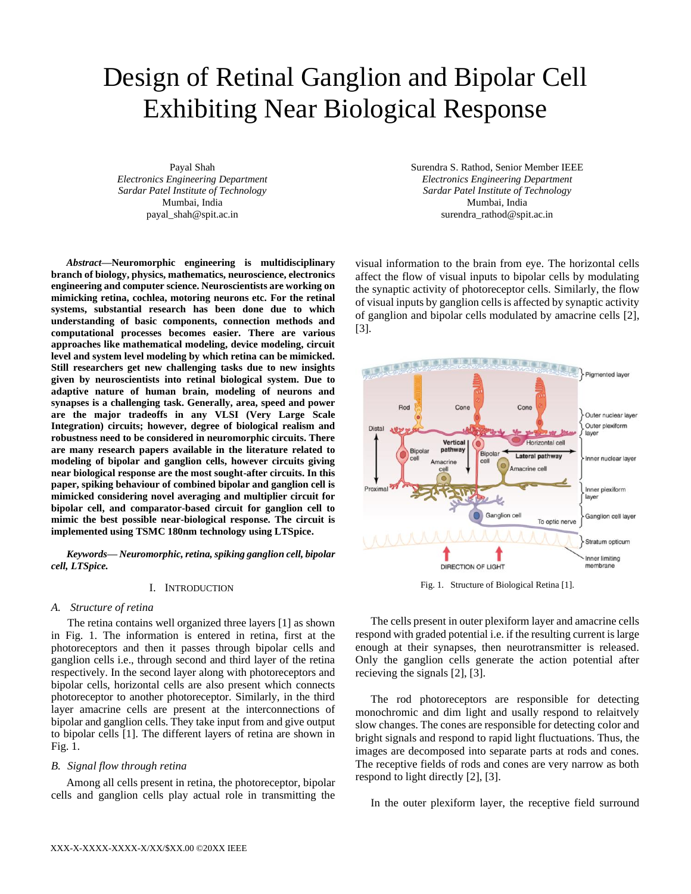# Design of Retinal Ganglion and Bipolar Cell Exhibiting Near Biological Response

Payal Shah *Electronics Engineering Department Sardar Patel Institute of Technology* Mumbai, India payal\_shah@spit.ac.in

*Abstract***—Neuromorphic engineering is multidisciplinary branch of biology, physics, mathematics, neuroscience, electronics engineering and computer science. Neuroscientists are working on mimicking retina, cochlea, motoring neurons etc. For the retinal systems, substantial research has been done due to which understanding of basic components, connection methods and computational processes becomes easier. There are various approaches like mathematical modeling, device modeling, circuit level and system level modeling by which retina can be mimicked. Still researchers get new challenging tasks due to new insights given by neuroscientists into retinal biological system. Due to adaptive nature of human brain, modeling of neurons and synapses is a challenging task. Generally, area, speed and power are the major tradeoffs in any VLSI (Very Large Scale Integration) circuits; however, degree of biological realism and robustness need to be considered in neuromorphic circuits. There are many research papers available in the literature related to modeling of bipolar and ganglion cells, however circuits giving near biological response are the most sought-after circuits. In this paper, spiking behaviour of combined bipolar and ganglion cell is mimicked considering novel averaging and multiplier circuit for bipolar cell, and comparator-based circuit for ganglion cell to mimic the best possible near-biological response. The circuit is implemented using TSMC 180nm technology using LTSpice.**

*Keywords— Neuromorphic, retina, spiking ganglion cell, bipolar cell, LTSpice.*

## I. INTRODUCTION

### *A. Structure of retina*

The retina contains well organized three layers [1] as shown in Fig. 1. The information is entered in retina, first at the photoreceptors and then it passes through bipolar cells and ganglion cells i.e., through second and third layer of the retina respectively. In the second layer along with photoreceptors and bipolar cells, horizontal cells are also present which connects photoreceptor to another photoreceptor. Similarly, in the third layer amacrine cells are present at the interconnections of bipolar and ganglion cells. They take input from and give output to bipolar cells [1]. The different layers of retina are shown in Fig. 1.

## *B. Signal flow through retina*

Among all cells present in retina, the photoreceptor, bipolar cells and ganglion cells play actual role in transmitting the Surendra S. Rathod, Senior Member IEEE *Electronics Engineering Department Sardar Patel Institute of Technology* Mumbai, India surendra\_rathod@spit.ac.in

visual information to the brain from eye. The horizontal cells affect the flow of visual inputs to bipolar cells by modulating the synaptic activity of photoreceptor cells. Similarly, the flow of visual inputs by ganglion cells is affected by synaptic activity of ganglion and bipolar cells modulated by amacrine cells [2], [3].



Fig. 1. Structure of Biological Retina [1].

The cells present in outer plexiform layer and amacrine cells respond with graded potential i.e. if the resulting current is large enough at their synapses, then neurotransmitter is released. Only the ganglion cells generate the action potential after recieving the signals [2], [3].

The rod photoreceptors are responsible for detecting monochromic and dim light and usally respond to relaitvely slow changes. The cones are responsible for detecting color and bright signals and respond to rapid light fluctuations. Thus, the images are decomposed into separate parts at rods and cones. The receptive fields of rods and cones are very narrow as both respond to light directly [2], [3].

In the outer plexiform layer, the receptive field surround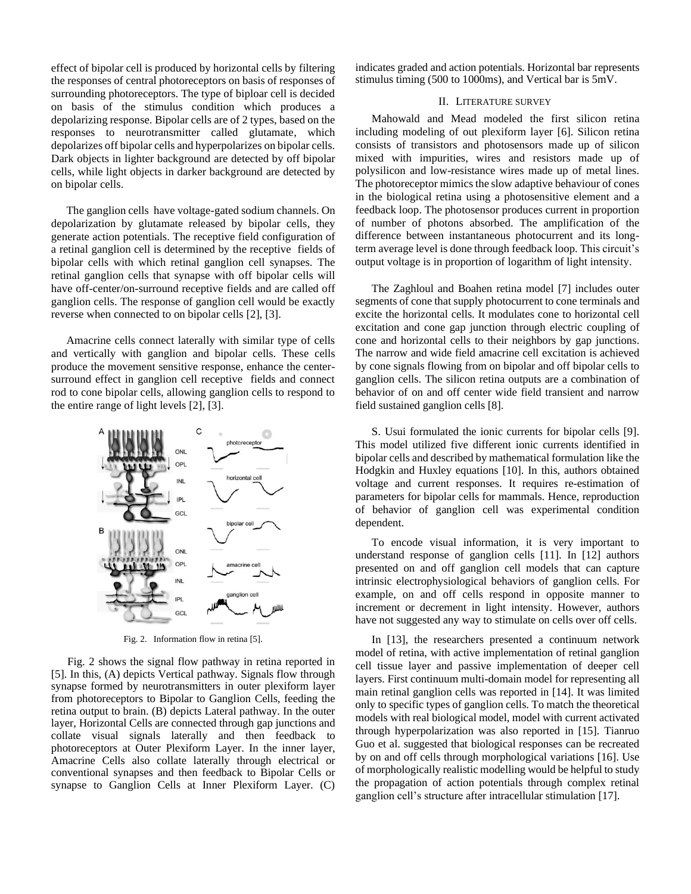effect of bipolar cell is produced by horizontal cells by filtering the responses of central photoreceptors on basis of responses of surrounding photoreceptors. The type of biploar cell is decided on basis of the stimulus condition which produces a depolarizing response. Bipolar cells are of 2 types, based on the responses to neurotransmitter called glutamate, which depolarizes off bipolar cells and hyperpolarizes on bipolar cells. Dark objects in lighter background are detected by off bipolar cells, while light objects in darker background are detected by on bipolar cells.

The ganglion cells have voltage-gated sodium channels. On depolarization by glutamate released by bipolar cells, they generate action potentials. The receptive field configuration of a retinal ganglion cell is determined by the receptive fields of bipolar cells with which retinal ganglion cell synapses. The retinal ganglion cells that synapse with off bipolar cells will have off-center/on-surround receptive fields and are called off ganglion cells. The response of ganglion cell would be exactly reverse when connected to on bipolar cells [2], [3].

Amacrine cells connect laterally with similar type of cells and vertically with ganglion and bipolar cells. These cells produce the movement sensitive response, enhance the centersurround effect in ganglion cell receptive fields and connect rod to cone bipolar cells, allowing ganglion cells to respond to the entire range of light levels [2], [3].



Fig. 2. Information flow in retina [5].

Fig. 2 shows the signal flow pathway in retina reported in [5]. In this, (A) depicts Vertical pathway. Signals flow through synapse formed by neurotransmitters in outer plexiform layer from photoreceptors to Bipolar to Ganglion Cells, feeding the retina output to brain. (B) depicts Lateral pathway. In the outer layer, Horizontal Cells are connected through gap junctions and collate visual signals laterally and then feedback to photoreceptors at Outer Plexiform Layer. In the inner layer, Amacrine Cells also collate laterally through electrical or conventional synapses and then feedback to Bipolar Cells or synapse to Ganglion Cells at Inner Plexiform Layer. (C)

indicates graded and action potentials. Horizontal bar represents stimulus timing (500 to 1000ms), and Vertical bar is 5mV.

# II. LITERATURE SURVEY

Mahowald and Mead modeled the first silicon retina including modeling of out plexiform layer [6]. Silicon retina consists of transistors and photosensors made up of silicon mixed with impurities, wires and resistors made up of polysilicon and low-resistance wires made up of metal lines. The photoreceptor mimics the slow adaptive behaviour of cones in the biological retina using a photosensitive element and a feedback loop. The photosensor produces current in proportion of number of photons absorbed. The amplification of the difference between instantaneous photocurrent and its longterm average level is done through feedback loop. This circuit's output voltage is in proportion of logarithm of light intensity.

The Zaghloul and Boahen retina model [7] includes outer segments of cone that supply photocurrent to cone terminals and excite the horizontal cells. It modulates cone to horizontal cell excitation and cone gap junction through electric coupling of cone and horizontal cells to their neighbors by gap junctions. The narrow and wide field amacrine cell excitation is achieved by cone signals flowing from on bipolar and off bipolar cells to ganglion cells. The silicon retina outputs are a combination of behavior of on and off center wide field transient and narrow field sustained ganglion cells [8].

S. Usui formulated the ionic currents for bipolar cells [9]. This model utilized five different ionic currents identified in bipolar cells and described by mathematical formulation like the Hodgkin and Huxley equations [10]. In this, authors obtained voltage and current responses. It requires re-estimation of parameters for bipolar cells for mammals. Hence, reproduction of behavior of ganglion cell was experimental condition dependent.

To encode visual information, it is very important to understand response of ganglion cells [11]. In [12] authors presented on and off ganglion cell models that can capture intrinsic electrophysiological behaviors of ganglion cells. For example, on and off cells respond in opposite manner to increment or decrement in light intensity. However, authors have not suggested any way to stimulate on cells over off cells.

In [13], the researchers presented a continuum network model of retina, with active implementation of retinal ganglion cell tissue layer and passive implementation of deeper cell layers. First continuum multi-domain model for representing all main retinal ganglion cells was reported in [14]. It was limited only to specific types of ganglion cells. To match the theoretical models with real biological model, model with current activated through hyperpolarization was also reported in [15]. Tianruo Guo et al. suggested that biological responses can be recreated by on and off cells through morphological variations [16]. Use of morphologically realistic modelling would be helpful to study the propagation of action potentials through complex retinal ganglion cell's structure after intracellular stimulation [17].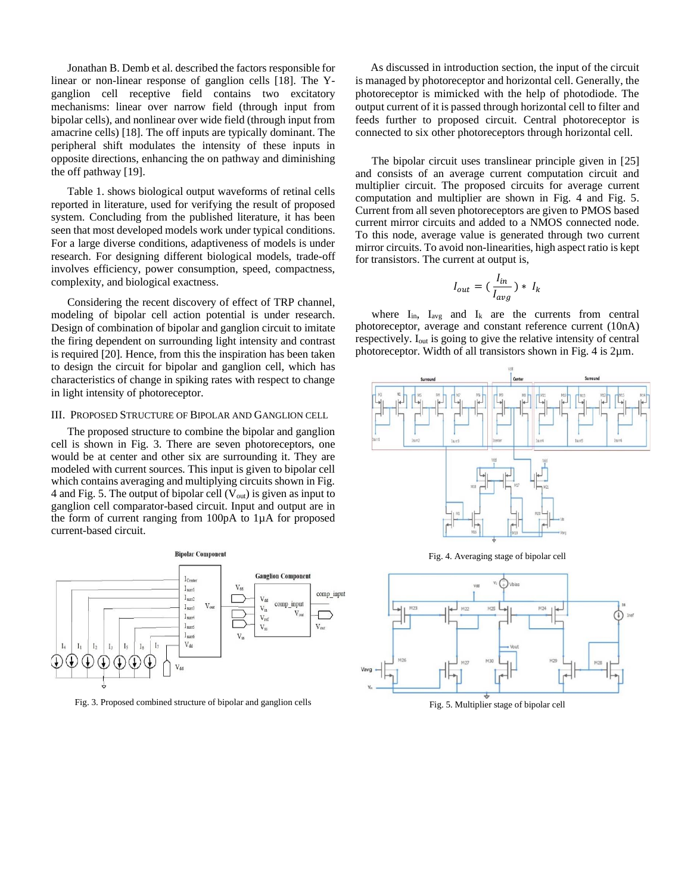Jonathan B. Demb et al. described the factors responsible for linear or non-linear response of ganglion cells [18]. The Yganglion cell receptive field contains two excitatory mechanisms: linear over narrow field (through input from bipolar cells), and nonlinear over wide field (through input from amacrine cells) [18]. The off inputs are typically dominant. The peripheral shift modulates the intensity of these inputs in opposite directions, enhancing the on pathway and diminishing the off pathway [19].

Table 1. shows biological output waveforms of retinal cells reported in literature, used for verifying the result of proposed system. Concluding from the published literature, it has been seen that most developed models work under typical conditions. For a large diverse conditions, adaptiveness of models is under research. For designing different biological models, trade-off involves efficiency, power consumption, speed, compactness, complexity, and biological exactness.

Considering the recent discovery of effect of TRP channel, modeling of bipolar cell action potential is under research. Design of combination of bipolar and ganglion circuit to imitate the firing dependent on surrounding light intensity and contrast is required [20]. Hence, from this the inspiration has been taken to design the circuit for bipolar and ganglion cell, which has characteristics of change in spiking rates with respect to change in light intensity of photoreceptor.

# III. PROPOSED STRUCTURE OF BIPOLAR AND GANGLION CELL

The proposed structure to combine the bipolar and ganglion cell is shown in Fig. 3. There are seven photoreceptors, one would be at center and other six are surrounding it. They are modeled with current sources. This input is given to bipolar cell which contains averaging and multiplying circuits shown in Fig. 4 and Fig. 5. The output of bipolar cell  $(V_{out})$  is given as input to ganglion cell comparator-based circuit. Input and output are in the form of current ranging from 100pA to 1µA for proposed current-based circuit.



Fig. 3. Proposed combined structure of bipolar and ganglion cells

As discussed in introduction section, the input of the circuit is managed by photoreceptor and horizontal cell. Generally, the photoreceptor is mimicked with the help of photodiode. The output current of it is passed through horizontal cell to filter and feeds further to proposed circuit. Central photoreceptor is connected to six other photoreceptors through horizontal cell.

The bipolar circuit uses translinear principle given in [25] and consists of an average current computation circuit and multiplier circuit. The proposed circuits for average current computation and multiplier are shown in Fig. 4 and Fig. 5. Current from all seven photoreceptors are given to PMOS based current mirror circuits and added to a NMOS connected node. To this node, average value is generated through two current mirror circuits. To avoid non-linearities, high aspect ratio is kept for transistors. The current at output is,

$$
I_{out} = \left(\frac{I_{in}}{I_{avg}}\right) * I_k
$$

where  $I_{in}$ ,  $I_{avg}$  and  $I_k$  are the currents from central photoreceptor, average and constant reference current (10nA) respectively. Iout is going to give the relative intensity of central photoreceptor. Width of all transistors shown in Fig. 4 is 2µm.



Fig. 5. Multiplier stage of bipolar cell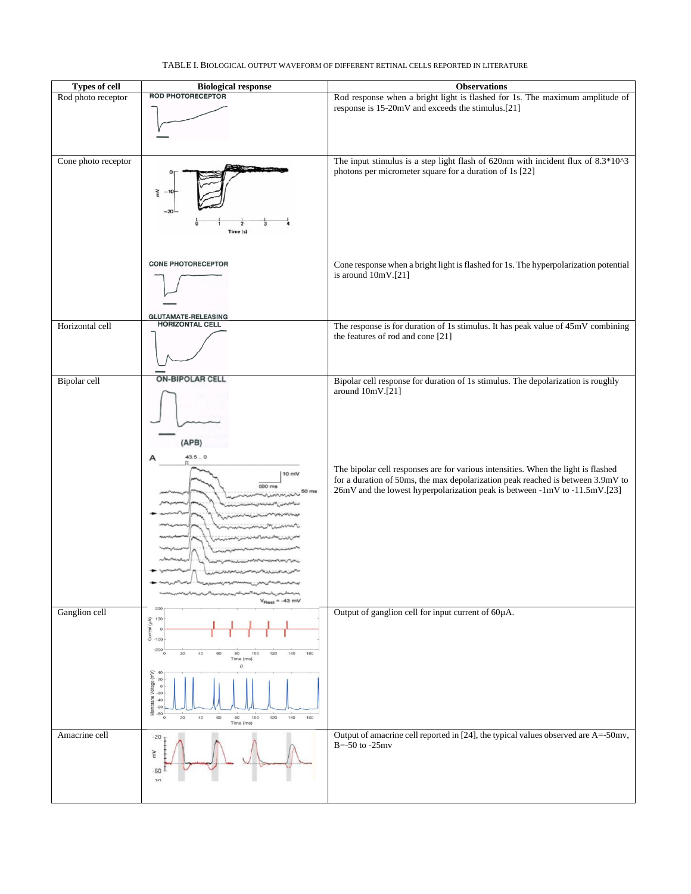|                     |                                                                                                                                                                                                                                                                                                                                                                   | response is 15-20mV and exceeds the stimulus.[21]                                                                                                                                                                                                                                                                                                          |
|---------------------|-------------------------------------------------------------------------------------------------------------------------------------------------------------------------------------------------------------------------------------------------------------------------------------------------------------------------------------------------------------------|------------------------------------------------------------------------------------------------------------------------------------------------------------------------------------------------------------------------------------------------------------------------------------------------------------------------------------------------------------|
| Cone photo receptor | 7<br>Time (s)                                                                                                                                                                                                                                                                                                                                                     | The input stimulus is a step light flash of 620nm with incident flux of 8.3*10^3<br>photons per micrometer square for a duration of 1s [22]                                                                                                                                                                                                                |
|                     | <b>CONE PHOTORECEPTOR</b>                                                                                                                                                                                                                                                                                                                                         | Cone response when a bright light is flashed for 1s. The hyperpolarization potential<br>is around 10mV.[21]                                                                                                                                                                                                                                                |
| Horizontal cell     | GLUTAMATE-RELEASING<br>HORIZONTAL CELL                                                                                                                                                                                                                                                                                                                            | The response is for duration of 1s stimulus. It has peak value of 45mV combining<br>the features of rod and cone [21]                                                                                                                                                                                                                                      |
| Bipolar cell        | <b>ON-BIPOLAR CELL</b><br>(APB)<br>43.5.0<br>A<br>$10 \text{ mV}$<br>500 m<br>$VRest = -43 mV$                                                                                                                                                                                                                                                                    | Bipolar cell response for duration of 1s stimulus. The depolarization is roughly<br>around 10mV.[21]<br>The bipolar cell responses are for various intensities. When the light is flashed<br>for a duration of 50ms, the max depolarization peak reached is between 3.9mV to<br>26mV and the lowest hyperpolarization peak is between -1mV to -11.5mV.[23] |
| Ganglion cell       | 100<br>Current $(\mu A)$<br>$\circ$<br>$-100$<br>$-200$<br>160<br>40<br>60<br>120<br>140<br>$\circ$<br>20<br>80<br>100<br>Time (ms)<br>$\boldsymbol{a}$<br>Membrane Voltage (mV)<br>$\frac{8}{5}$ $\frac{8}{5}$ $\frac{8}{5}$ $\frac{8}{5}$ $\frac{8}{5}$ $\frac{8}{5}$<br>20 <sub>2</sub><br>40<br>120<br>140<br>160<br>60<br>100<br>80<br>$\Omega$<br>Time (ms) | Output of ganglion cell for input current of 60µA.                                                                                                                                                                                                                                                                                                         |
| Amacrine cell       | $-20$<br>$\widetilde{\pi}$<br>$-60$<br>20                                                                                                                                                                                                                                                                                                                         | Output of amacrine cell reported in [24], the typical values observed are A=-50mv,<br>$B = -50$ to $-25$ mv                                                                                                                                                                                                                                                |

# TABLE I. BIOLOGICAL OUTPUT WAVEFORM OF DIFFERENT RETINAL CELLS REPORTED IN LITERATURE

Rod photo receptor Rod response when a bright light is flashed for 1s. The maximum amplitude of

**Types of cell Biological response Biological Property Biological Response Biological Response Rod** response when a bright light is flashed for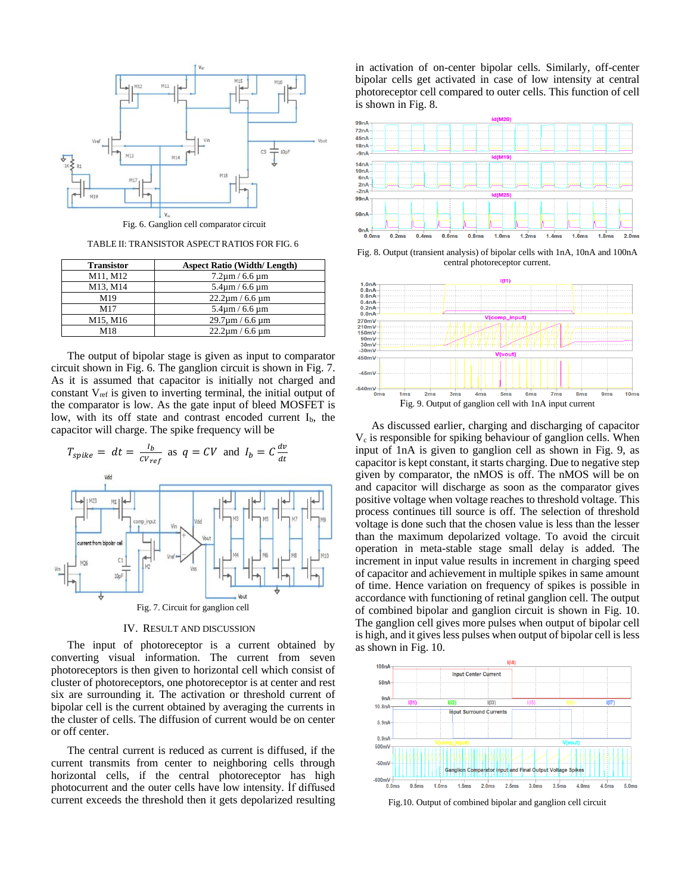

TABLE II: TRANSISTOR ASPECT RATIOS FOR FIG. 6

| <b>Transistor</b> | <b>Aspect Ratio (Width/Length)</b> |
|-------------------|------------------------------------|
| M11, M12          | $7.2 \mu m / 6.6 \mu m$            |
| M13, M14          | $5.4 \text{µm} / 6.6 \text{µm}$    |
| M <sub>19</sub>   | $22.2 \mu m / 6.6 \mu m$           |
| M17               | $5.4 \text{µm} / 6.6 \text{µm}$    |
| M15, M16          | $29.7 \text{µm} / 6.6 \text{µm}$   |
| M18               | $22.2 \mu m / 6.6 \mu m$           |

The output of bipolar stage is given as input to comparator circuit shown in Fig. 6. The ganglion circuit is shown in Fig. 7. As it is assumed that capacitor is initially not charged and constant  $V_{ref}$  is given to inverting terminal, the initial output of the comparator is low. As the gate input of bleed MOSFET is low, with its off state and contrast encoded current  $I<sub>b</sub>$ , the capacitor will charge. The spike frequency will be



IV. RESULT AND DISCUSSION

The input of photoreceptor is a current obtained by converting visual information. The current from seven photoreceptors is then given to horizontal cell which consist of cluster of photoreceptors, one photoreceptor is at center and rest six are surrounding it. The activation or threshold current of bipolar cell is the current obtained by averaging the currents in the cluster of cells. The diffusion of current would be on center or off center.

The central current is reduced as current is diffused, if the current transmits from center to neighboring cells through horizontal cells, if the central photoreceptor has high photocurrent and the outer cells have low intensity. İf diffused current exceeds the threshold then it gets depolarized resulting in activation of on-center bipolar cells. Similarly, off-center bipolar cells get activated in case of low intensity at central photoreceptor cell compared to outer cells. This function of cell is shown in Fig. 8.



Fig. 8. Output (transient analysis) of bipolar cells with 1nA, 10nA and 100nA central photoreceptor current.



As discussed earlier, charging and discharging of capacitor  $V_c$  is responsible for spiking behaviour of ganglion cells. When input of 1nA is given to ganglion cell as shown in Fig. 9, as capacitor is kept constant, it starts charging. Due to negative step given by comparator, the nMOS is off. The nMOS will be on and capacitor will discharge as soon as the comparator gives positive voltage when voltage reaches to threshold voltage. This process continues till source is off. The selection of threshold voltage is done such that the chosen value is less than the lesser than the maximum depolarized voltage. To avoid the circuit operation in meta-stable stage small delay is added. The increment in input value results in increment in charging speed of capacitor and achievement in multiple spikes in same amount of time. Hence variation on frequency of spikes is possible in accordance with functioning of retinal ganglion cell. The output of combined bipolar and ganglion circuit is shown in Fig. 10. The ganglion cell gives more pulses when output of bipolar cell is high, and it gives less pulses when output of bipolar cell is less as shown in Fig. 10.



Fig.10. Output of combined bipolar and ganglion cell circuit